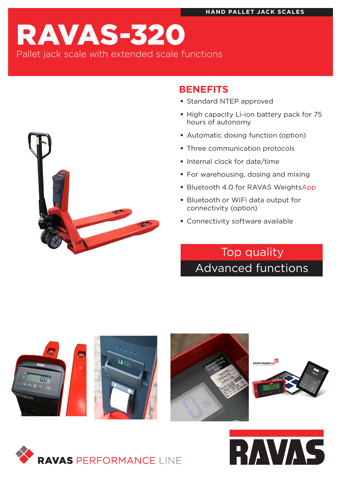# RAVAS-320 Pallet jack scale with extended scale functions



## **BENEFITS**

- **Standard NTEP approved**
- High capacity Li-ion battery pack for 75 hours of autonomy
- Automatic dosing function (option)
- **Three communication protocols**
- **Internal clock for date/time**
- **For warehousing, dosing and mixing**
- **Bluetooth 4.0 for RAVAS WeightsApp**
- Bluetooth or WiFi data output for connectivity (option)
- **Connectivity software available**

## Top quality Advanced functions